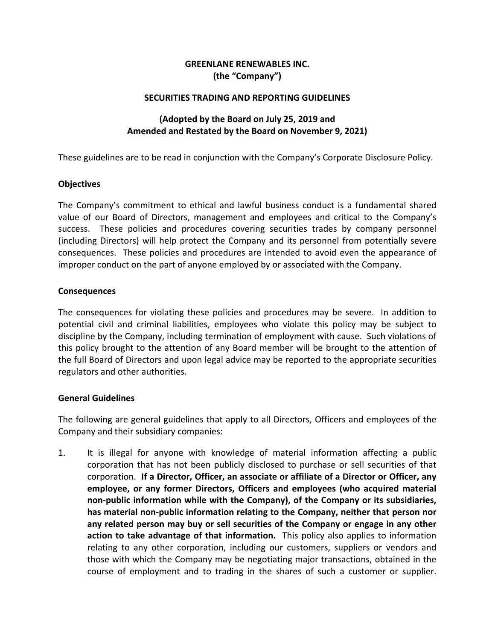# **GREENLANE RENEWABLES INC. (the "Company")**

### **SECURITIES TRADING AND REPORTING GUIDELINES**

## **(Adopted by the Board on July 25, 2019 and Amended and Restated by the Board on November 9, 2021)**

These guidelines are to be read in conjunction with the Company's Corporate Disclosure Policy.

### **Objectives**

The Company's commitment to ethical and lawful business conduct is a fundamental shared value of our Board of Directors, management and employees and critical to the Company's success. These policies and procedures covering securities trades by company personnel (including Directors) will help protect the Company and its personnel from potentially severe consequences. These policies and procedures are intended to avoid even the appearance of improper conduct on the part of anyone employed by or associated with the Company.

### **Consequences**

The consequences for violating these policies and procedures may be severe. In addition to potential civil and criminal liabilities, employees who violate this policy may be subject to discipline by the Company, including termination of employment with cause. Such violations of this policy brought to the attention of any Board member will be brought to the attention of the full Board of Directors and upon legal advice may be reported to the appropriate securities regulators and other authorities.

## **General Guidelines**

The following are general guidelines that apply to all Directors, Officers and employees of the Company and their subsidiary companies:

1. It is illegal for anyone with knowledge of material information affecting a public corporation that has not been publicly disclosed to purchase or sell securities of that corporation. **If a Director, Officer, an associate or affiliate of a Director or Officer, any employee, or any former Directors, Officers and employees (who acquired material non‐public information while with the Company), of the Company or its subsidiaries, has material non‐public information relating to the Company, neither that person nor any related person may buy or sell securities of the Company or engage in any other action to take advantage of that information.** This policy also applies to information relating to any other corporation, including our customers, suppliers or vendors and those with which the Company may be negotiating major transactions, obtained in the course of employment and to trading in the shares of such a customer or supplier.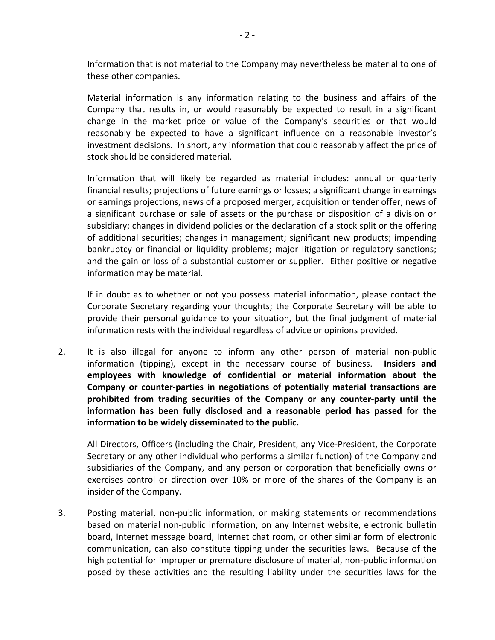Information that is not material to the Company may nevertheless be material to one of these other companies.

Material information is any information relating to the business and affairs of the Company that results in, or would reasonably be expected to result in a significant change in the market price or value of the Company's securities or that would reasonably be expected to have a significant influence on a reasonable investor's investment decisions. In short, any information that could reasonably affect the price of stock should be considered material.

Information that will likely be regarded as material includes: annual or quarterly financial results; projections of future earnings or losses; a significant change in earnings or earnings projections, news of a proposed merger, acquisition or tender offer; news of a significant purchase or sale of assets or the purchase or disposition of a division or subsidiary; changes in dividend policies or the declaration of a stock split or the offering of additional securities; changes in management; significant new products; impending bankruptcy or financial or liquidity problems; major litigation or regulatory sanctions; and the gain or loss of a substantial customer or supplier. Either positive or negative information may be material.

If in doubt as to whether or not you possess material information, please contact the Corporate Secretary regarding your thoughts; the Corporate Secretary will be able to provide their personal guidance to your situation, but the final judgment of material information rests with the individual regardless of advice or opinions provided.

2. It is also illegal for anyone to inform any other person of material non‐public information (tipping), except in the necessary course of business. **Insiders and employees with knowledge of confidential or material information about the Company or counter‐parties in negotiations of potentially material transactions are prohibited from trading securities of the Company or any counter‐party until the information has been fully disclosed and a reasonable period has passed for the information to be widely disseminated to the public.**

All Directors, Officers (including the Chair, President, any Vice‐President, the Corporate Secretary or any other individual who performs a similar function) of the Company and subsidiaries of the Company, and any person or corporation that beneficially owns or exercises control or direction over 10% or more of the shares of the Company is an insider of the Company.

3. Posting material, non‐public information, or making statements or recommendations based on material non‐public information, on any Internet website, electronic bulletin board, Internet message board, Internet chat room, or other similar form of electronic communication, can also constitute tipping under the securities laws. Because of the high potential for improper or premature disclosure of material, non‐public information posed by these activities and the resulting liability under the securities laws for the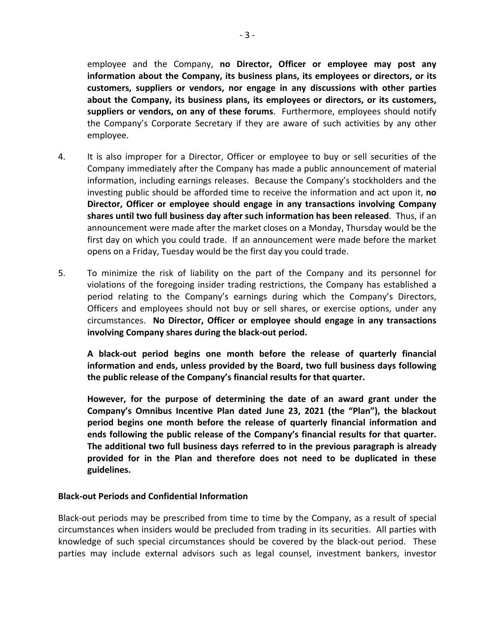employee and the Company, **no Director, Officer or employee may post any information about the Company, its business plans, its employees or directors, or its customers, suppliers or vendors, nor engage in any discussions with other parties about the Company, its business plans, its employees or directors, or its customers, suppliers or vendors, on any of these forums**. Furthermore, employees should notify the Company's Corporate Secretary if they are aware of such activities by any other employee.

- 4. It is also improper for a Director, Officer or employee to buy or sell securities of the Company immediately after the Company has made a public announcement of material information, including earnings releases. Because the Company's stockholders and the investing public should be afforded time to receive the information and act upon it, **no Director, Officer or employee should engage in any transactions involving Company shares until two full business day after such information has been released**. Thus, if an announcement were made after the market closes on a Monday, Thursday would be the first day on which you could trade. If an announcement were made before the market opens on a Friday, Tuesday would be the first day you could trade.
- 5. To minimize the risk of liability on the part of the Company and its personnel for violations of the foregoing insider trading restrictions, the Company has established a period relating to the Company's earnings during which the Company's Directors, Officers and employees should not buy or sell shares, or exercise options, under any circumstances. **No Director, Officer or employee should engage in any transactions involving Company shares during the black‐out period.**

**A black‐out period begins one month before the release of quarterly financial information and ends, unless provided by the Board, two full business days following the public release of the Company's financial results for that quarter.**

**However, for the purpose of determining the date of an award grant under the Company's Omnibus Incentive Plan dated June 23, 2021 (the "Plan"), the blackout period begins one month before the release of quarterly financial information and ends following the public release of the Company's financial results for that quarter. The additional two full business days referred to in the previous paragraph is already provided for in the Plan and therefore does not need to be duplicated in these guidelines.**

## **Black‐out Periods and Confidential Information**

Black‐out periods may be prescribed from time to time by the Company, as a result of special circumstances when insiders would be precluded from trading in its securities. All parties with knowledge of such special circumstances should be covered by the black-out period. These parties may include external advisors such as legal counsel, investment bankers, investor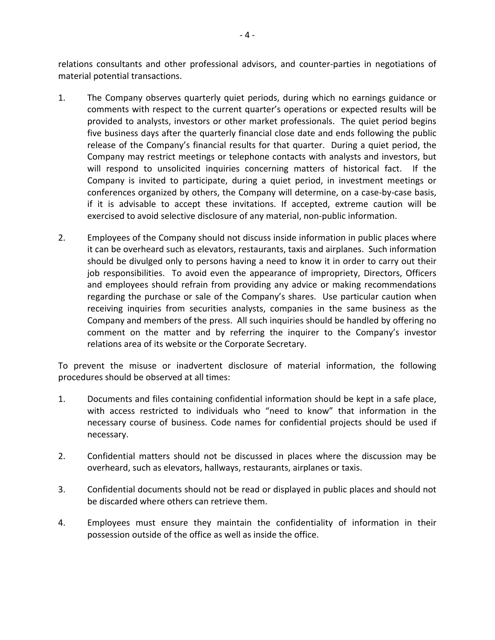relations consultants and other professional advisors, and counter‐parties in negotiations of material potential transactions.

- 1. The Company observes quarterly quiet periods, during which no earnings guidance or comments with respect to the current quarter's operations or expected results will be provided to analysts, investors or other market professionals. The quiet period begins five business days after the quarterly financial close date and ends following the public release of the Company's financial results for that quarter. During a quiet period, the Company may restrict meetings or telephone contacts with analysts and investors, but will respond to unsolicited inquiries concerning matters of historical fact. If the Company is invited to participate, during a quiet period, in investment meetings or conferences organized by others, the Company will determine, on a case-by-case basis, if it is advisable to accept these invitations. If accepted, extreme caution will be exercised to avoid selective disclosure of any material, non‐public information.
- 2. Employees of the Company should not discuss inside information in public places where it can be overheard such as elevators, restaurants, taxis and airplanes. Such information should be divulged only to persons having a need to know it in order to carry out their job responsibilities. To avoid even the appearance of impropriety, Directors, Officers and employees should refrain from providing any advice or making recommendations regarding the purchase or sale of the Company's shares. Use particular caution when receiving inquiries from securities analysts, companies in the same business as the Company and members of the press. All such inquiries should be handled by offering no comment on the matter and by referring the inquirer to the Company's investor relations area of its website or the Corporate Secretary.

To prevent the misuse or inadvertent disclosure of material information, the following procedures should be observed at all times:

- 1. Documents and files containing confidential information should be kept in a safe place, with access restricted to individuals who "need to know" that information in the necessary course of business. Code names for confidential projects should be used if necessary.
- 2. Confidential matters should not be discussed in places where the discussion may be overheard, such as elevators, hallways, restaurants, airplanes or taxis.
- 3. Confidential documents should not be read or displayed in public places and should not be discarded where others can retrieve them.
- 4. Employees must ensure they maintain the confidentiality of information in their possession outside of the office as well as inside the office.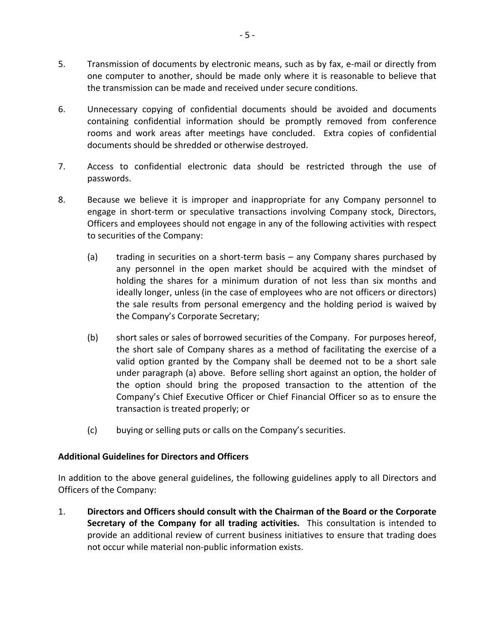- 5. Transmission of documents by electronic means, such as by fax, e-mail or directly from one computer to another, should be made only where it is reasonable to believe that the transmission can be made and received under secure conditions.
- 6. Unnecessary copying of confidential documents should be avoided and documents containing confidential information should be promptly removed from conference rooms and work areas after meetings have concluded. Extra copies of confidential documents should be shredded or otherwise destroyed.
- 7. Access to confidential electronic data should be restricted through the use of passwords.
- 8. Because we believe it is improper and inappropriate for any Company personnel to engage in short-term or speculative transactions involving Company stock, Directors, Officers and employees should not engage in any of the following activities with respect to securities of the Company:
	- (a) trading in securities on a short-term basis any Company shares purchased by any personnel in the open market should be acquired with the mindset of holding the shares for a minimum duration of not less than six months and ideally longer, unless (in the case of employees who are not officers or directors) the sale results from personal emergency and the holding period is waived by the Company's Corporate Secretary;
	- (b) short sales or sales of borrowed securities of the Company. For purposes hereof, the short sale of Company shares as a method of facilitating the exercise of a valid option granted by the Company shall be deemed not to be a short sale under paragraph (a) above. Before selling short against an option, the holder of the option should bring the proposed transaction to the attention of the Company's Chief Executive Officer or Chief Financial Officer so as to ensure the transaction is treated properly; or
	- (c) buying or selling puts or calls on the Company's securities.

## **Additional Guidelines for Directors and Officers**

In addition to the above general guidelines, the following guidelines apply to all Directors and Officers of the Company:

1. **Directors and Officers should consult with the Chairman of the Board or the Corporate Secretary of the Company for all trading activities.** This consultation is intended to provide an additional review of current business initiatives to ensure that trading does not occur while material non‐public information exists.